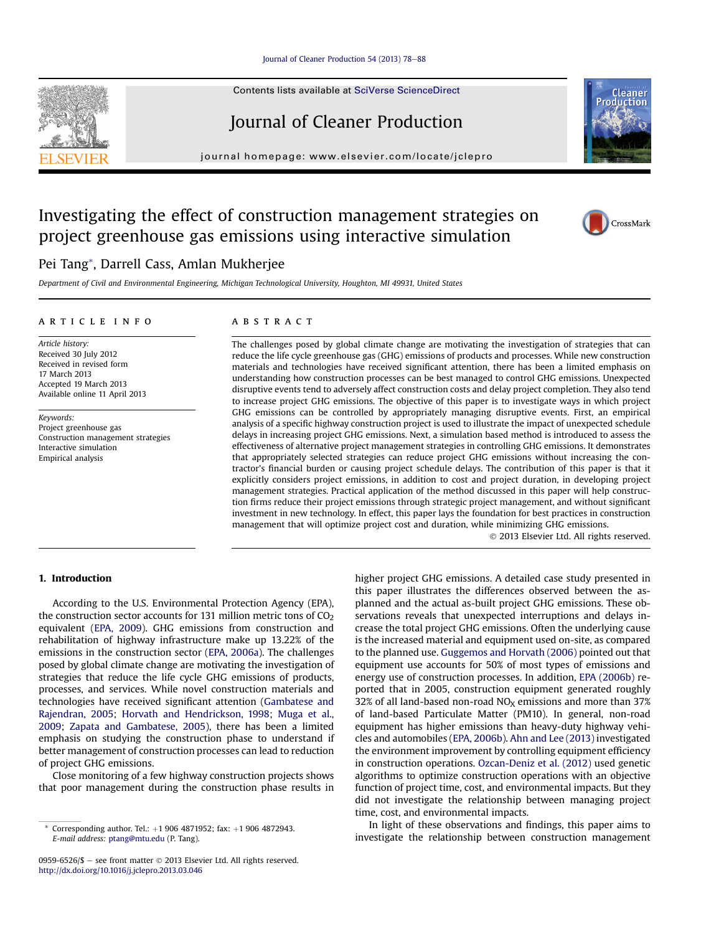#### [Journal of Cleaner Production 54 \(2013\) 78](http://dx.doi.org/10.1016/j.jclepro.2013.03.046)-[88](http://dx.doi.org/10.1016/j.jclepro.2013.03.046)

Contents lists available at SciVerse ScienceDirect

## Journal of Cleaner Production

journal homepage: [www.elsevier.com/locate/jclepro](http://www.elsevier.com/locate/jclepro)

# Cleane

### Investigating the effect of construction management strategies on project greenhouse gas emissions using interactive simulation



#### Pei Tang\*, Darrell Cass, Amlan Mukherjee

Department of Civil and Environmental Engineering, Michigan Technological University, Houghton, MI 49931, United States

#### article info

Article history: Received 30 July 2012 Received in revised form 17 March 2013 Accepted 19 March 2013 Available online 11 April 2013

Keywords: Project greenhouse gas Construction management strategies Interactive simulation Empirical analysis

#### **ABSTRACT**

The challenges posed by global climate change are motivating the investigation of strategies that can reduce the life cycle greenhouse gas (GHG) emissions of products and processes. While new construction materials and technologies have received significant attention, there has been a limited emphasis on understanding how construction processes can be best managed to control GHG emissions. Unexpected disruptive events tend to adversely affect construction costs and delay project completion. They also tend to increase project GHG emissions. The objective of this paper is to investigate ways in which project GHG emissions can be controlled by appropriately managing disruptive events. First, an empirical analysis of a specific highway construction project is used to illustrate the impact of unexpected schedule delays in increasing project GHG emissions. Next, a simulation based method is introduced to assess the effectiveness of alternative project management strategies in controlling GHG emissions. It demonstrates that appropriately selected strategies can reduce project GHG emissions without increasing the contractor's financial burden or causing project schedule delays. The contribution of this paper is that it explicitly considers project emissions, in addition to cost and project duration, in developing project management strategies. Practical application of the method discussed in this paper will help construction firms reduce their project emissions through strategic project management, and without significant investment in new technology. In effect, this paper lays the foundation for best practices in construction management that will optimize project cost and duration, while minimizing GHG emissions.

2013 Elsevier Ltd. All rights reserved.

#### 1. Introduction

According to the U.S. Environmental Protection Agency (EPA), the construction sector accounts for 131 million metric tons of  $CO<sub>2</sub>$ equivalent (EPA, 2009). GHG emissions from construction and rehabilitation of highway infrastructure make up 13.22% of the emissions in the construction sector (EPA, 2006a). The challenges posed by global climate change are motivating the investigation of strategies that reduce the life cycle GHG emissions of products, processes, and services. While novel construction materials and technologies have received significant attention (Gambatese and Rajendran, 2005; Horvath and Hendrickson, 1998; Muga et al., 2009; Zapata and Gambatese, 2005), there has been a limited emphasis on studying the construction phase to understand if better management of construction processes can lead to reduction of project GHG emissions.

Close monitoring of a few highway construction projects shows that poor management during the construction phase results in higher project GHG emissions. A detailed case study presented in this paper illustrates the differences observed between the asplanned and the actual as-built project GHG emissions. These observations reveals that unexpected interruptions and delays increase the total project GHG emissions. Often the underlying cause is the increased material and equipment used on-site, as compared to the planned use. Guggemos and Horvath (2006) pointed out that equipment use accounts for 50% of most types of emissions and energy use of construction processes. In addition, EPA (2006b) reported that in 2005, construction equipment generated roughly 32% of all land-based non-road  $NO<sub>X</sub>$  emissions and more than 37% of land-based Particulate Matter (PM10). In general, non-road equipment has higher emissions than heavy-duty highway vehicles and automobiles (EPA, 2006b). Ahn and Lee (2013) investigated the environment improvement by controlling equipment efficiency in construction operations. Ozcan-Deniz et al. (2012) used genetic algorithms to optimize construction operations with an objective function of project time, cost, and environmental impacts. But they did not investigate the relationship between managing project time, cost, and environmental impacts.

In light of these observations and findings, this paper aims to investigate the relationship between construction management



Corresponding author. Tel.:  $+1$  906 4871952; fax:  $+1$  906 4872943. E-mail address: [ptang@mtu.edu](mailto:ptang@mtu.edu) (P. Tang).

<sup>0959-6526/\$ -</sup> see front matter © 2013 Elsevier Ltd. All rights reserved. <http://dx.doi.org/10.1016/j.jclepro.2013.03.046>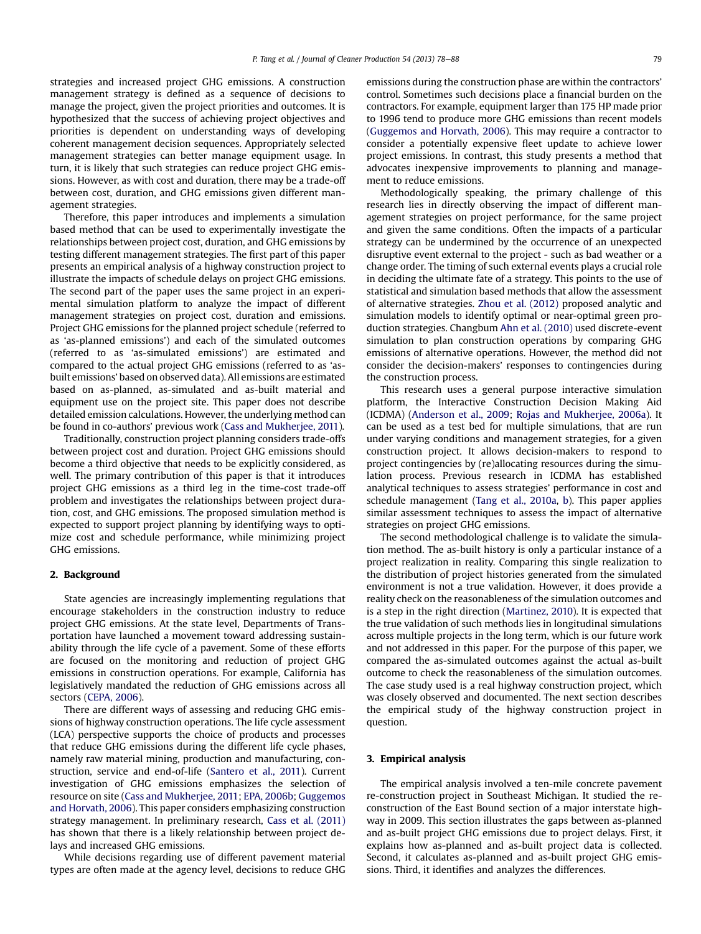strategies and increased project GHG emissions. A construction management strategy is defined as a sequence of decisions to manage the project, given the project priorities and outcomes. It is hypothesized that the success of achieving project objectives and priorities is dependent on understanding ways of developing coherent management decision sequences. Appropriately selected management strategies can better manage equipment usage. In turn, it is likely that such strategies can reduce project GHG emissions. However, as with cost and duration, there may be a trade-off between cost, duration, and GHG emissions given different management strategies.

Therefore, this paper introduces and implements a simulation based method that can be used to experimentally investigate the relationships between project cost, duration, and GHG emissions by testing different management strategies. The first part of this paper presents an empirical analysis of a highway construction project to illustrate the impacts of schedule delays on project GHG emissions. The second part of the paper uses the same project in an experimental simulation platform to analyze the impact of different management strategies on project cost, duration and emissions. Project GHG emissions for the planned project schedule (referred to as 'as-planned emissions') and each of the simulated outcomes (referred to as 'as-simulated emissions') are estimated and compared to the actual project GHG emissions (referred to as 'asbuilt emissions' based on observed data). All emissions are estimated based on as-planned, as-simulated and as-built material and equipment use on the project site. This paper does not describe detailed emission calculations. However, the underlying method can be found in co-authors' previous work (Cass and Mukherjee, 2011).

Traditionally, construction project planning considers trade-offs between project cost and duration. Project GHG emissions should become a third objective that needs to be explicitly considered, as well. The primary contribution of this paper is that it introduces project GHG emissions as a third leg in the time-cost trade-off problem and investigates the relationships between project duration, cost, and GHG emissions. The proposed simulation method is expected to support project planning by identifying ways to optimize cost and schedule performance, while minimizing project GHG emissions.

#### 2. Background

State agencies are increasingly implementing regulations that encourage stakeholders in the construction industry to reduce project GHG emissions. At the state level, Departments of Transportation have launched a movement toward addressing sustainability through the life cycle of a pavement. Some of these efforts are focused on the monitoring and reduction of project GHG emissions in construction operations. For example, California has legislatively mandated the reduction of GHG emissions across all sectors (CEPA, 2006).

There are different ways of assessing and reducing GHG emissions of highway construction operations. The life cycle assessment (LCA) perspective supports the choice of products and processes that reduce GHG emissions during the different life cycle phases, namely raw material mining, production and manufacturing, construction, service and end-of-life (Santero et al., 2011). Current investigation of GHG emissions emphasizes the selection of resource on site (Cass and Mukherjee, 2011; EPA, 2006b; Guggemos and Horvath, 2006). This paper considers emphasizing construction strategy management. In preliminary research, Cass et al. (2011) has shown that there is a likely relationship between project delays and increased GHG emissions.

While decisions regarding use of different pavement material types are often made at the agency level, decisions to reduce GHG emissions during the construction phase are within the contractors' control. Sometimes such decisions place a financial burden on the contractors. For example, equipment larger than 175 HP made prior to 1996 tend to produce more GHG emissions than recent models (Guggemos and Horvath, 2006). This may require a contractor to consider a potentially expensive fleet update to achieve lower project emissions. In contrast, this study presents a method that advocates inexpensive improvements to planning and management to reduce emissions.

Methodologically speaking, the primary challenge of this research lies in directly observing the impact of different management strategies on project performance, for the same project and given the same conditions. Often the impacts of a particular strategy can be undermined by the occurrence of an unexpected disruptive event external to the project - such as bad weather or a change order. The timing of such external events plays a crucial role in deciding the ultimate fate of a strategy. This points to the use of statistical and simulation based methods that allow the assessment of alternative strategies. Zhou et al. (2012) proposed analytic and simulation models to identify optimal or near-optimal green production strategies. Changbum Ahn et al. (2010) used discrete-event simulation to plan construction operations by comparing GHG emissions of alternative operations. However, the method did not consider the decision-makers' responses to contingencies during the construction process.

This research uses a general purpose interactive simulation platform, the Interactive Construction Decision Making Aid (ICDMA) (Anderson et al., 2009; Rojas and Mukherjee, 2006a). It can be used as a test bed for multiple simulations, that are run under varying conditions and management strategies, for a given construction project. It allows decision-makers to respond to project contingencies by (re)allocating resources during the simulation process. Previous research in ICDMA has established analytical techniques to assess strategies' performance in cost and schedule management (Tang et al., 2010a, b). This paper applies similar assessment techniques to assess the impact of alternative strategies on project GHG emissions.

The second methodological challenge is to validate the simulation method. The as-built history is only a particular instance of a project realization in reality. Comparing this single realization to the distribution of project histories generated from the simulated environment is not a true validation. However, it does provide a reality check on the reasonableness of the simulation outcomes and is a step in the right direction (Martinez, 2010). It is expected that the true validation of such methods lies in longitudinal simulations across multiple projects in the long term, which is our future work and not addressed in this paper. For the purpose of this paper, we compared the as-simulated outcomes against the actual as-built outcome to check the reasonableness of the simulation outcomes. The case study used is a real highway construction project, which was closely observed and documented. The next section describes the empirical study of the highway construction project in question.

#### 3. Empirical analysis

The empirical analysis involved a ten-mile concrete pavement re-construction project in Southeast Michigan. It studied the reconstruction of the East Bound section of a major interstate highway in 2009. This section illustrates the gaps between as-planned and as-built project GHG emissions due to project delays. First, it explains how as-planned and as-built project data is collected. Second, it calculates as-planned and as-built project GHG emissions. Third, it identifies and analyzes the differences.